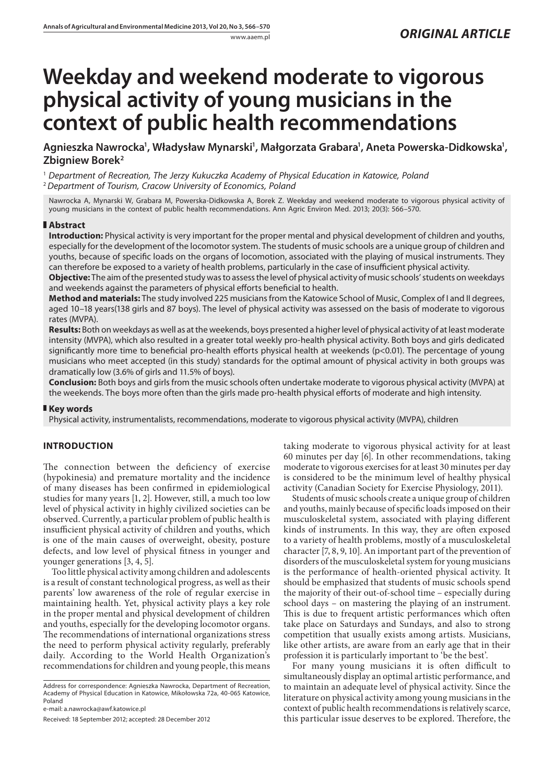# **Weekday and weekend moderate to vigorous physical activity of young musicians in the context of public health recommendations**

Agnieszka Nawrocka', Władysław Mynarski', Małgorzata Grabara', Aneta Powerska-Didkowska', **Zbigniew Borek2**

<sup>1</sup> Department of Recreation, The Jerzy Kukuczka Academy of Physical Education in Katowice, Polana <sup>2</sup>*Department of Tourism, Cracow University of Economics, Poland*

Nawrocka A, Mynarski W, Grabara M, Powerska-Didkowska A, Borek Z. Weekday and weekend moderate to vigorous physical activity of young musicians in the context of public health recommendations. Ann Agric Environ Med. 2013; 20(3): 566–570.

# **Abstract**

**Introduction:** Physical activity is very important for the proper mental and physical development of children and youths, especially for the development of the locomotor system. The students of music schools are a unique group of children and youths, because of specific loads on the organs of locomotion, associated with the playing of musical instruments. They can therefore be exposed to a variety of health problems, particularly in the case of insufficient physical activity.

**Objective:** The aim of the presented study was to assess the level of physical activity of music schools' students on weekdays and weekends against the parameters of physical efforts beneficial to health.

**Method and materials:** The study involved 225 musicians from the Katowice School of Music, Complex of I and II degrees, aged 10–18 years(138 girls and 87 boys). The level of physical activity was assessed on the basis of moderate to vigorous rates (MVPA).

**Results:** Both on weekdays as well as at the weekends, boys presented a higher level of physical activity of at least moderate intensity (MVPA), which also resulted in a greater total weekly pro-health physical activity. Both boys and girls dedicated significantly more time to beneficial pro-health efforts physical health at weekends (p<0.01). The percentage of young musicians who meet accepted (in this study) standards for the optimal amount of physical activity in both groups was dramatically low (3.6% of girls and 11.5% of boys).

**Conclusion:** Both boys and girls from the music schools often undertake moderate to vigorous physical activity (MVPA) at the weekends. The boys more often than the girls made pro-health physical efforts of moderate and high intensity.

# **Key words**

Physical activity, instrumentalists, recommendations, moderate to vigorous physical activity (MVPA), children

# **INTRODUCTION**

The connection between the deficiency of exercise (hypokinesia) and premature mortality and the incidence of many diseases has been confirmed in epidemiological studies for many years [1, 2]. However, still, a much too low level of physical activity in highly civilized societies can be observed. Currently, a particular problem of public health is insufficient physical activity of children and youths, which is one of the main causes of overweight, obesity, posture defects, and low level of physical fitness in younger and younger generations [3, 4, 5].

Too little physical activity among children and adolescents is a result of constant technological progress, as well as their parents' low awareness of the role of regular exercise in maintaining health. Yet, physical activity plays a key role in the proper mental and physical development of children and youths, especially for the developing locomotor organs. The recommendations of international organizations stress the need to perform physical activity regularly, preferably daily. According to the World Health Organization's recommendations for children and young people, this means

Address for correspondence: Agnieszka Nawrocka, Department of Recreation, Academy of Physical Education in Katowice, Mikołowska 72a, 40-065 Katowice, Poland

e-mail: a.nawrocka@awf.katowice.pl

Received: 18 September 2012; accepted: 28 December 2012

taking moderate to vigorous physical activity for at least 60 minutes per day [6]. In other recommendations, taking moderate to vigorous exercises for at least 30 minutes per day is considered to be the minimum level of healthy physical activity (Canadian Society for Exercise Physiology, 2011).

Students of music schools create a unique group of children and youths, mainly because of specific loads imposed on their musculoskeletal system, associated with playing different kinds of instruments. In this way, they are often exposed to a variety of health problems, mostly of a musculoskeletal character [7, 8, 9, 10]. An important part of the prevention of disorders of the musculoskeletal system for young musicians is the performance of health-oriented physical activity. It should be emphasized that students of music schools spend the majority of their out-of-school time – especially during school days – on mastering the playing of an instrument. This is due to frequent artistic performances which often take place on Saturdays and Sundays, and also to strong competition that usually exists among artists. Musicians, like other artists, are aware from an early age that in their profession it is particularly important to 'be the best'.

For many young musicians it is often difficult to simultaneously display an optimal artistic performance, and to maintain an adequate level of physical activity. Since the literature on physical activity among young musicians in the context of public health recommendations is relatively scarce, this particular issue deserves to be explored. Therefore, the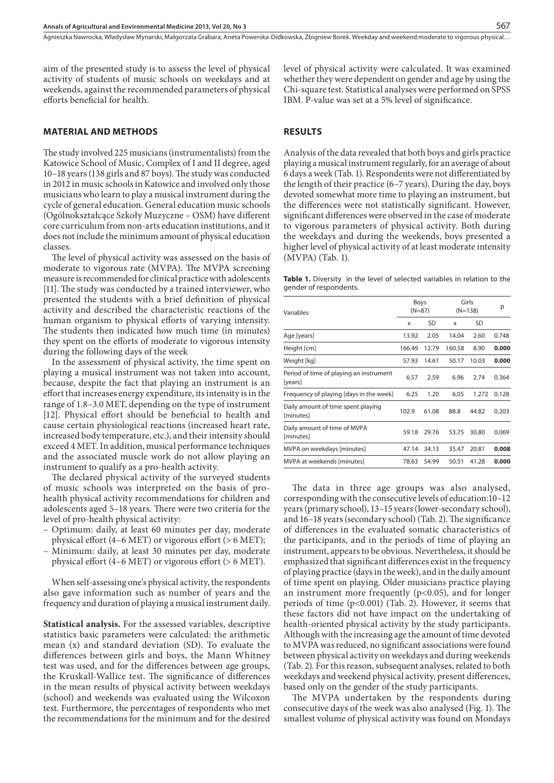Agnieszka Nawrocka, Władysław Mynarski, Małgorzata Grabara, Aneta Powerska-Didkowska, Zbigniew Borek . Weekday and weekend moderate to vigorous physical…

aim of the presented study is to assess the level of physical activity of students of music schools on weekdays and at weekends, against the recommended parameters of physical efforts beneficial for health.

#### **MATERIAL AND METHODS**

The study involved 225 musicians (instrumentalists) from the Katowice School of Music, Complex of I and II degree, aged 10–18 years (138 girls and 87 boys). The study was conducted in 2012 in music schools in Katowice and involved only those musicians who learn to play a musical instrument during the cycle of general education. General education music schools (Ogólnokształcące Szkoły Muzyczne – OSM) have different core curriculum from non-arts education institutions, and it does not include the minimum amount of physical education classes.

The level of physical activity was assessed on the basis of moderate to vigorous rate (MVPA). The MVPA screening measure is recommended for clinical practice with adolescents [11]. The study was conducted by a trained interviewer, who presented the students with a brief definition of physical activity and described the characteristic reactions of the human organism to physical efforts of varying intensity. The students then indicated how much time (in minutes) they spent on the efforts of moderate to vigorous intensity during the following days of the week

In the assessment of physical activity, the time spent on playing a musical instrument was not taken into account, because, despite the fact that playing an instrument is an effort that increases energy expenditure, its intensity is in the range of 1.8–3.0 MET, depending on the type of instrument [12]. Physical effort should be beneficial to health and cause certain physiological reactions (increased heart rate, increased body temperature, etc.), and their intensity should exceed 4 MET. In addition, musical performance techniques and the associated muscle work do not allow playing an instrument to qualify as a pro-health activity.

The declared physical activity of the surveyed students of music schools was interpreted on the basis of prohealth physical activity recommendations for children and adolescents aged 5–18 years. There were two criteria for the level of pro-health physical activity:

- Optimum: daily, at least 60 minutes per day, moderate physical effort (4–6 MET) or vigorous effort (> 6 MET);
- Minimum: daily, at least 30 minutes per day, moderate physical effort (4–6 MET) or vigorous effort (> 6 MET).

When self-assessing one's physical activity, the respondents also gave information such as number of years and the frequency and duration of playing a musical instrument daily.

**Statistical analysis.** For the assessed variables, descriptive statistics basic parameters were calculated: the arithmetic mean (x) and standard deviation (SD). To evaluate the differences between girls and boys, the Mann Whitney test was used, and for the differences between age groups, the Kruskall-Wallice test. The significance of differences in the mean results of physical activity between weekdays (school) and weekends was evaluated using the Wilcoxon test. Furthermore, the percentages of respondents who met the recommendations for the minimum and for the desired

level of physical activity were calculated. It was examined whether they were dependent on gender and age by using the Chi-square test. Statistical analyses were performed on SPSS IBM. P-value was set at a 5% level of significance.

#### **RESULTS**

Analysis of the data revealed that both boys and girls practice playing a musical instrument regularly, for an average of about 6 days a week (Tab. 1). Respondents were not differentiated by the length of their practice (6–7 years). During the day, boys devoted somewhat more time to playing an instrument, but the differences were not statistically significant. However, significant differences were observed in the case of moderate to vigorous parameters of physical activity. Both during the weekdays and during the weekends, boys presented a higher level of physical activity of at least moderate intensity (MVPA) (Tab. 1).

**Table 1.** Diversity in the level of selected variables in relation to the gender of respondents.

| Variables                                          | <b>Boys</b><br>$(N=87)$ |       | Girls<br>$(N=138)$ |       | р     |
|----------------------------------------------------|-------------------------|-------|--------------------|-------|-------|
|                                                    | X                       | SD    | X                  | SD    |       |
| Age [years]                                        | 13.92                   | 2.05  | 14.04              | 2.60  | 0.748 |
| Height [cm]                                        | 166.49                  | 12.79 | 160.58             | 8.90  | 0.000 |
| Weight [kg]                                        | 57.93                   | 14.61 | 50.17              | 10.03 | 0.000 |
| Period of time of playing an instrument<br>[years] | 6.57                    | 2.59  | 6.96               | 2.74  | 0.364 |
| Frequency of playing [days in the week]            | 6.25                    | 1.20  | 6.05               | 1.272 | 0.128 |
| Daily amount of time spent playing<br>[minutes]    | 102.9                   | 61.08 | 88.8               | 44.82 | 0.203 |
| Daily amount of time of MVPA<br>[minutes]          | 59.18                   | 29.76 | 53.75              | 30.80 | 0.069 |
| MVPA on weekdays [minutes]                         | 47.14                   | 34.13 | 35.47              | 20.81 | 0.008 |
| MVPA at weekends [minutes]                         | 78.63                   | 54.99 | 50.51              | 41.28 | 0.000 |
|                                                    |                         |       |                    |       |       |

The data in three age groups was also analysed, corresponding with the consecutive levels of education:10–12 years (primary school), 13–15 years (lower-secondary school), and 16–18 years (secondary school) (Tab. 2). The significance of differences in the evaluated somatic characteristics of the participants, and in the periods of time of playing an instrument, appears to be obvious. Nevertheless, it should be emphasized that significant differences exist in the frequency of playing practice (days in the week), and in the daily amount of time spent on playing. Older musicians practice playing an instrument more frequently ( $p<0.05$ ), and for longer periods of time (p<0.001) (Tab. 2). However, it seems that these factors did not have impact on the undertaking of health-oriented physical activity by the study participants. Although with the increasing age the amount of time devoted to MVPA was reduced, no significant associations were found between physical activity on weekdays and during weekends (Tab. 2). For this reason, subsequent analyses, related to both weekdays and weekend physical activity, present differences, based only on the gender of the study participants.

The MVPA undertaken by the respondents during consecutive days of the week was also analysed (Fig. 1). The smallest volume of physical activity was found on Mondays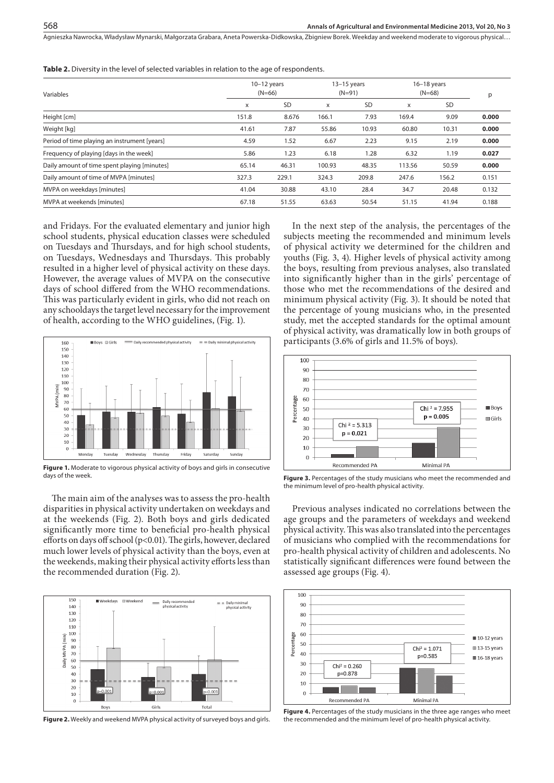Agnieszka Nawrocka, Władysław Mynarski, Małgorzata Grabara, Aneta Powerska-Didkowska, Zbigniew Borek . Weekday and weekend moderate to vigorous physical…

| Variables                                    |       | $10-12$ years<br>$(N=66)$ |        | $13-15$ years<br>$(N=91)$ |        | $16-18$ years<br>$(N=68)$ |       |
|----------------------------------------------|-------|---------------------------|--------|---------------------------|--------|---------------------------|-------|
|                                              | X     | <b>SD</b>                 | X      | <b>SD</b>                 | X      | SD                        |       |
| Height [cm]                                  | 151.8 | 8.676                     | 166.1  | 7.93                      | 169.4  | 9.09                      | 0.000 |
| Weight [kg]                                  | 41.61 | 7.87                      | 55.86  | 10.93                     | 60.80  | 10.31                     | 0.000 |
| Period of time playing an instrument [years] | 4.59  | 1.52                      | 6.67   | 2.23                      | 9.15   | 2.19                      | 0.000 |
| Frequency of playing [days in the week]      | 5.86  | 1.23                      | 6.18   | 1.28                      | 6.32   | 1.19                      | 0.027 |
| Daily amount of time spent playing [minutes] | 65.14 | 46.31                     | 100.93 | 48.35                     | 113.56 | 50.59                     | 0.000 |
| Daily amount of time of MVPA [minutes]       | 327.3 | 229.1                     | 324.3  | 209.8                     | 247.6  | 156.2                     | 0.151 |
| MVPA on weekdays [minutes]                   | 41.04 | 30.88                     | 43.10  | 28.4                      | 34.7   | 20.48                     | 0.132 |
| MVPA at weekends [minutes]                   | 67.18 | 51.55                     | 63.63  | 50.54                     | 51.15  | 41.94                     | 0.188 |
|                                              |       |                           |        |                           |        |                           |       |

**Table 2.** Diversity in the level of selected variables in relation to the age of respondents.

and Fridays. For the evaluated elementary and junior high school students, physical education classes were scheduled on Tuesdays and Thursdays, and for high school students, on Tuesdays, Wednesdays and Thursdays. This probably resulted in a higher level of physical activity on these days. However, the average values of MVPA on the consecutive days of school differed from the WHO recommendations. This was particularly evident in girls, who did not reach on any schooldays the target level necessary for the improvement of health, according to the WHO guidelines, (Fig. 1).



**Figure 1.** Moderate to vigorous physical activity of boys and girls in consecutive days of the week.

The main aim of the analyses was to assess the pro-health disparities in physical activity undertaken on weekdays and at the weekends (Fig. 2). Both boys and girls dedicated significantly more time to beneficial pro-health physical efforts on days off school (p<0.01). The girls, however, declared much lower levels of physical activity than the boys, even at the weekends, making their physical activity efforts less than the recommended duration (Fig. 2).



**Figure 2.** Weekly and weekend MVPA physical activity of surveyed boys and girls.

In the next step of the analysis, the percentages of the subjects meeting the recommended and minimum levels of physical activity we determined for the children and youths (Fig. 3, 4). Higher levels of physical activity among the boys, resulting from previous analyses, also translated into significantly higher than in the girls' percentage of those who met the recommendations of the desired and minimum physical activity (Fig. 3). It should be noted that the percentage of young musicians who, in the presented study, met the accepted standards for the optimal amount of physical activity, was dramatically low in both groups of participants (3.6% of girls and 11.5% of boys).



**Figure 3.** Percentages of the study musicians who meet the recommended and the minimum level of pro-health physical activity.

Previous analyses indicated no correlations between the age groups and the parameters of weekdays and weekend physical activity. This was also translated into the percentages of musicians who complied with the recommendations for pro-health physical activity of children and adolescents. No statistically significant differences were found between the assessed age groups (Fig. 4).



**Figure 4.** Percentages of the study musicians in the three age ranges who meet the recommended and the minimum level of pro-health physical activity.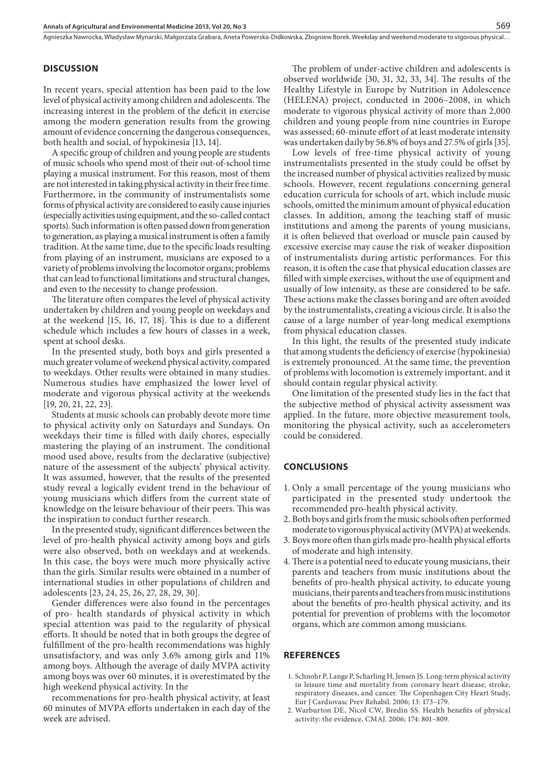# **DISCUSSION**

In recent years, special attention has been paid to the low level of physical activity among children and adolescents. The increasing interest in the problem of the deficit in exercise among the modern generation results from the growing amount of evidence concerning the dangerous consequences, both health and social, of hypokinesia [13, 14].

A specific group of children and young people are students of music schools who spend most of their out-of-school time playing a musical instrument. For this reason, most of them are not interested in taking physical activity in their free time. Furthermore, in the community of instrumentalists some forms of physical activity are considered to easily cause injuries (especially activities using equipment, and the so-called contact sports). Such information is often passed down from generation to generation, as playing a musical instrument is often a family tradition. At the same time, due to the specific loads resulting from playing of an instrument, musicians are exposed to a variety of problems involving the locomotor organs; problems that can lead to functional limitations and structural changes, and even to the necessity to change profession.

The literature often compares the level of physical activity undertaken by children and young people on weekdays and at the weekend [15, 16, 17, 18]. This is due to a different schedule which includes a few hours of classes in a week, spent at school desks.

In the presented study, both boys and girls presented a much greater volume of weekend physical activity, compared to weekdays. Other results were obtained in many studies. Numerous studies have emphasized the lower level of moderate and vigorous physical activity at the weekends [19, 20, 21, 22, 23].

Students at music schools can probably devote more time to physical activity only on Saturdays and Sundays. On weekdays their time is filled with daily chores, especially mastering the playing of an instrument. The conditional mood used above, results from the declarative (subjective) nature of the assessment of the subjects' physical activity. It was assumed, however, that the results of the presented study reveal a logically evident trend in the behaviour of young musicians which differs from the current state of knowledge on the leisure behaviour of their peers. This was the inspiration to conduct further research.

In the presented study, significant differences between the level of pro-health physical activity among boys and girls were also observed, both on weekdays and at weekends. In this case, the boys were much more physically active than the girls. Similar results were obtained in a number of international studies in other populations of children and adolescents [23, 24, 25, 26, 27, 28, 29, 30].

Gender differences were also found in the percentages of pro- health standards of physical activity in which special attention was paid to the regularity of physical efforts. It should be noted that in both groups the degree of fulfillment of the pro-health recommendations was highly unsatisfactory, and was only 3.6% among girls and 11% among boys. Although the average of daily MVPA activity among boys was over 60 minutes, it is overestimated by the high weekend physical activity. In the

recommenations for pro-health physical activity, at least 60 minutes of MVPA efforts undertaken in each day of the week are advised.

The problem of under-active children and adolescents is observed worldwide [30, 31, 32, 33, 34]. The results of the Healthy Lifestyle in Europe by Nutrition in Adolescence (HELENA) project, conducted in 2006–2008, in which moderate to vigorous physical activity of more than 2,000 children and young people from nine countries in Europe was assessed; 60-minute effort of at least moderate intensity was undertaken daily by 56.8% of boys and 27.5% of girls [35].

Low levels of free-time physical activity of young instrumentalists presented in the study could be offset by the increased number of physical activities realized by music schools. However, recent regulations concerning general education curricula for schools of art, which include music schools, omitted the minimum amount of physical education classes. In addition, among the teaching staff of music institutions and among the parents of young musicians, it is often believed that overload or muscle pain caused by excessive exercise may cause the risk of weaker disposition of instrumentalists during artistic performances. For this reason, it is often the case that physical education classes are filled with simple exercises, without the use of equipment and usually of low intensity, as these are considered to be safe. These actions make the classes boring and are often avoided by the instrumentalists, creating a vicious circle. It is also the cause of a large number of year-long medical exemptions from physical education classes.

In this light, the results of the presented study indicate that among students the deficiency of exercise (hypokinesia) is extremely pronounced. At the same time, the prevention of problems with locomotion is extremely important, and it should contain regular physical activity.

One limitation of the presented study lies in the fact that the subjective method of physical activity assessment was applied. In the future, more objective measurement tools, monitoring the physical activity, such as accelerometers could be considered.

#### **CONCLUSIONS**

- 1. Only a small percentage of the young musicians who participated in the presented study undertook the recommended pro-health physical activity.
- 2. Both boys and girls from the music schools often performed moderate to vigorous physical activity (MVPA) at weekends.
- 3. Boys more often than girls made pro-health physical efforts of moderate and high intensity.
- 4. There is a potential need to educate young musicians, their parents and teachers from music institutions about the benefits of pro-health physical activity, to educate young musicians, their parents and teachers from music institutions about the benefits of pro-health physical activity, and its potential for prevention of problems with the locomotor organs, which are common among musicians.

### **REFERENCES**

- 1. Schnohr P, Lange P, Scharling H, Jensen JS. Long-term physical activity in leisure time and mortality from coronary heart disease, stroke, respiratory diseases, and cancer. The Copenhagen City Heart Study**.** Eur J Cardiovasc Prev Rehabil. 2006; 13: 173–179.
- 2. Warburton DE, Nicol CW, Bredin SS. Health benefits of physical activity: the evidence**.** CMAJ. 2006; 174: 801–809.